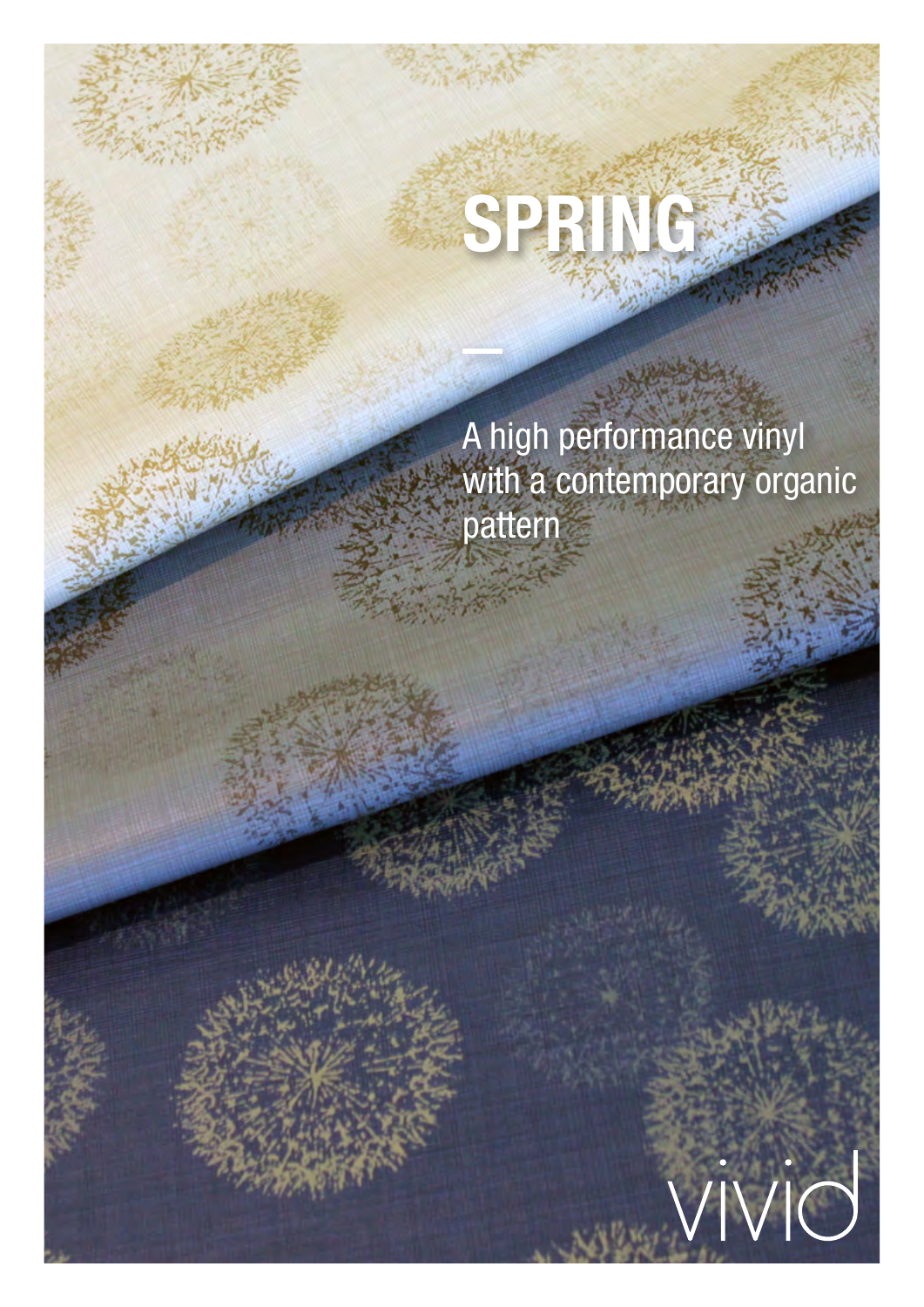A high performance vinyl with a contemporary organic pattern

 $\bigvee$ 

**SPRING**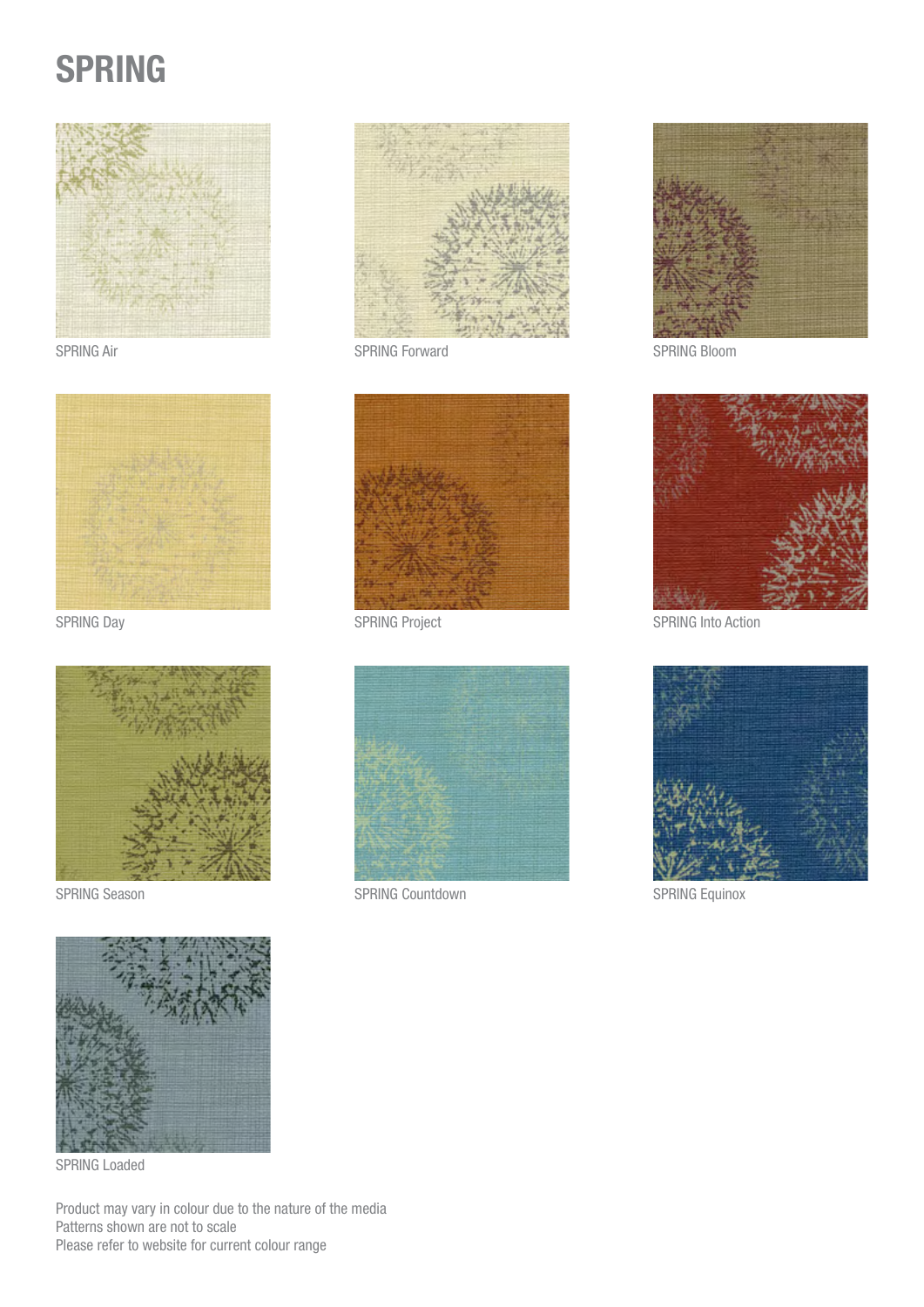# SPRING









SPRING Loaded

Product may vary in colour due to the nature of the media Patterns shown are not to scale Please refer to website for current colour range



SPRING Air SPRING Forward SPRING Forward SPRING Bloom





SPRING Season SPRING Countdown SPRING Countdown SPRING Equinox





SPRING Day SPRING Project SPRING Project SPRING Into Action